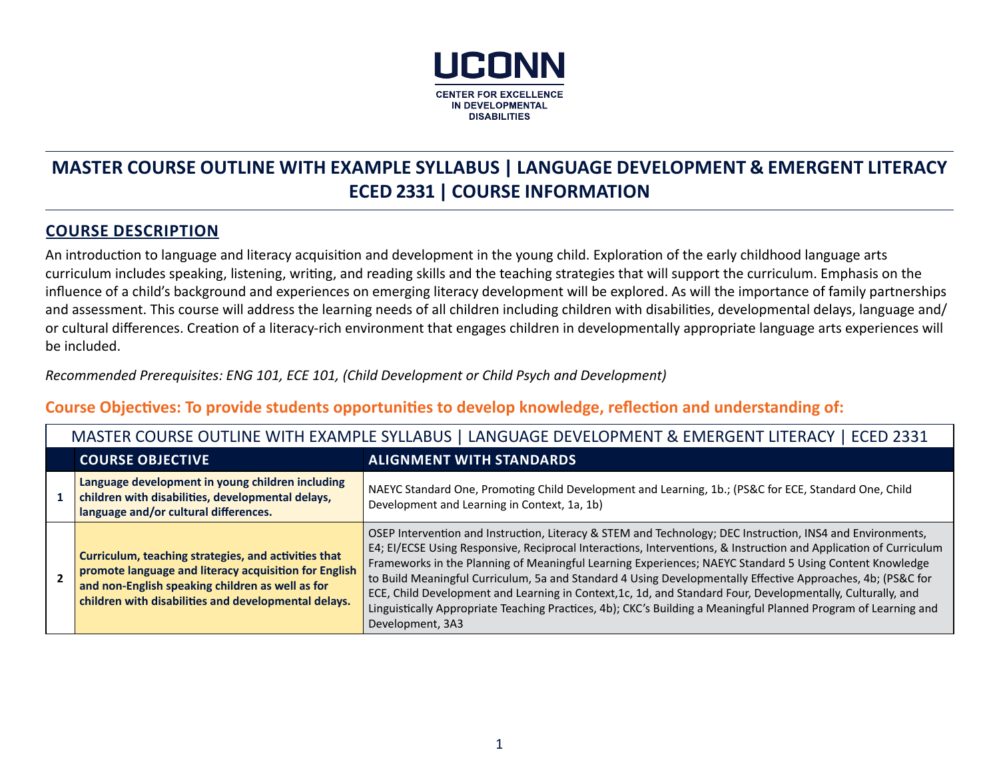

# **MASTER COURSE OUTLINE WITH EXAMPLE SYLLABUS | LANGUAGE DEVELOPMENT & EMERGENT LITERACY ECED 2331 | COURSE INFORMATION**

## **COURSE DESCRIPTION**

An introduction to language and literacy acquisition and development in the young child. Exploration of the early childhood language arts curriculum includes speaking, listening, writing, and reading skills and the teaching strategies that will support the curriculum. Emphasis on the influence of a child's background and experiences on emerging literacy development will be explored. As will the importance of family partnerships and assessment. This course will address the learning needs of all children including children with disabilities, developmental delays, language and/ or cultural differences. Creation of a literacy-rich environment that engages children in developmentally appropriate language arts experiences will be included.

*Recommended Prerequisites: ENG 101, ECE 101, (Child Development or Child Psych and Development)*

## **Course Objectives: To provide students opportunities to develop knowledge, reflection and understanding of:**

| MASTER COURSE OUTLINE WITH EXAMPLE SYLLABUS   LANGUAGE DEVELOPMENT & EMERGENT LITERACY   ECED 2331                                                                                                                        |                                                                                                                                                                                                                                                                                                                                                                                                                                                                                                                                                                                                                                                                                                                 |  |  |  |
|---------------------------------------------------------------------------------------------------------------------------------------------------------------------------------------------------------------------------|-----------------------------------------------------------------------------------------------------------------------------------------------------------------------------------------------------------------------------------------------------------------------------------------------------------------------------------------------------------------------------------------------------------------------------------------------------------------------------------------------------------------------------------------------------------------------------------------------------------------------------------------------------------------------------------------------------------------|--|--|--|
| <b>COURSE OBJECTIVE</b>                                                                                                                                                                                                   | <b>ALIGNMENT WITH STANDARDS</b>                                                                                                                                                                                                                                                                                                                                                                                                                                                                                                                                                                                                                                                                                 |  |  |  |
| Language development in young children including<br>children with disabilities, developmental delays,<br>language and/or cultural differences.                                                                            | NAEYC Standard One, Promoting Child Development and Learning, 1b.; (PS&C for ECE, Standard One, Child<br>Development and Learning in Context, 1a, 1b)                                                                                                                                                                                                                                                                                                                                                                                                                                                                                                                                                           |  |  |  |
| Curriculum, teaching strategies, and activities that<br>promote language and literacy acquisition for English<br>and non-English speaking children as well as for<br>children with disabilities and developmental delays. | OSEP Intervention and Instruction, Literacy & STEM and Technology; DEC Instruction, INS4 and Environments,<br>E4; EI/ECSE Using Responsive, Reciprocal Interactions, Interventions, & Instruction and Application of Curriculum<br>Frameworks in the Planning of Meaningful Learning Experiences; NAEYC Standard 5 Using Content Knowledge<br>to Build Meaningful Curriculum, 5a and Standard 4 Using Developmentally Effective Approaches, 4b; (PS&C for<br>ECE, Child Development and Learning in Context, 1c, 1d, and Standard Four, Developmentally, Culturally, and<br>Linguistically Appropriate Teaching Practices, 4b); CKC's Building a Meaningful Planned Program of Learning and<br>Development, 3A3 |  |  |  |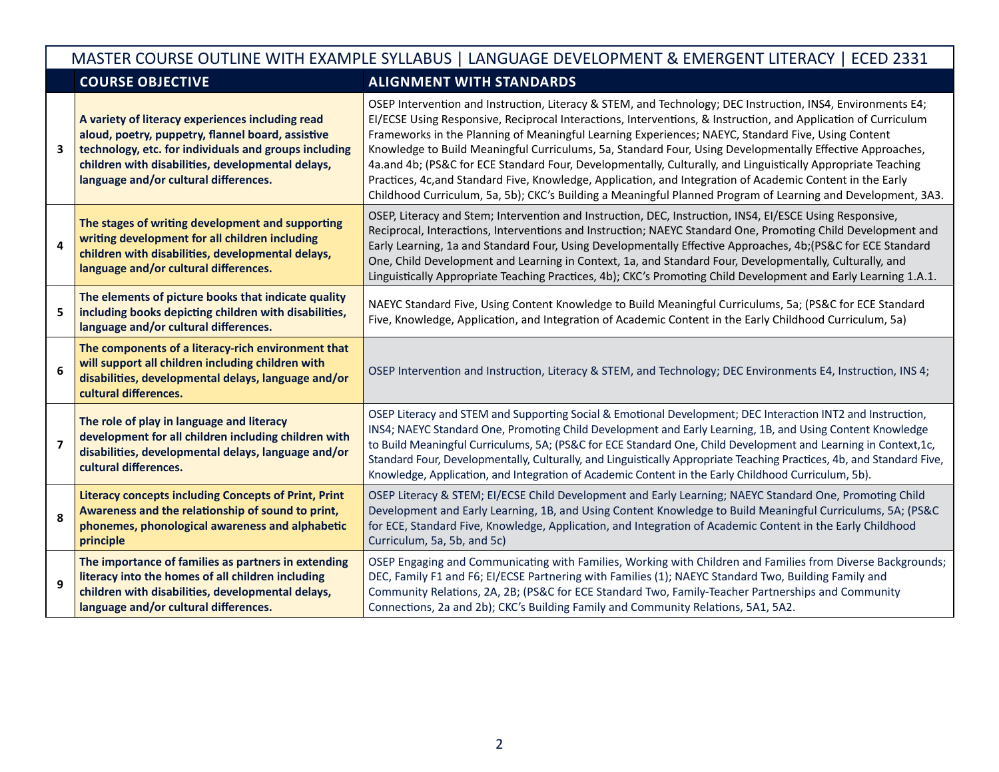|   | MASTER COURSE OUTLINE WITH EXAMPLE SYLLABUS   LANGUAGE DEVELOPMENT & EMERGENT LITERACY   ECED 2331                                                                                                                                                           |                                                                                                                                                                                                                                                                                                                                                                                                                                                                                                                                                                                                                                                                                                                                                                                                |  |  |  |
|---|--------------------------------------------------------------------------------------------------------------------------------------------------------------------------------------------------------------------------------------------------------------|------------------------------------------------------------------------------------------------------------------------------------------------------------------------------------------------------------------------------------------------------------------------------------------------------------------------------------------------------------------------------------------------------------------------------------------------------------------------------------------------------------------------------------------------------------------------------------------------------------------------------------------------------------------------------------------------------------------------------------------------------------------------------------------------|--|--|--|
|   | <b>COURSE OBJECTIVE</b>                                                                                                                                                                                                                                      | <b>ALIGNMENT WITH STANDARDS</b>                                                                                                                                                                                                                                                                                                                                                                                                                                                                                                                                                                                                                                                                                                                                                                |  |  |  |
| 3 | A variety of literacy experiences including read<br>aloud, poetry, puppetry, flannel board, assistive<br>technology, etc. for individuals and groups including<br>children with disabilities, developmental delays,<br>language and/or cultural differences. | OSEP Intervention and Instruction, Literacy & STEM, and Technology; DEC Instruction, INS4, Environments E4;<br>EI/ECSE Using Responsive, Reciprocal Interactions, Interventions, & Instruction, and Application of Curriculum<br>Frameworks in the Planning of Meaningful Learning Experiences; NAEYC, Standard Five, Using Content<br>Knowledge to Build Meaningful Curriculums, 5a, Standard Four, Using Developmentally Effective Approaches,<br>4a.and 4b; (PS&C for ECE Standard Four, Developmentally, Culturally, and Linguistically Appropriate Teaching<br>Practices, 4c, and Standard Five, Knowledge, Application, and Integration of Academic Content in the Early<br>Childhood Curriculum, 5a, 5b); CKC's Building a Meaningful Planned Program of Learning and Development, 3A3. |  |  |  |
| 4 | The stages of writing development and supporting<br>writing development for all children including<br>children with disabilities, developmental delays,<br>language and/or cultural differences.                                                             | OSEP, Literacy and Stem; Intervention and Instruction, DEC, Instruction, INS4, EI/ESCE Using Responsive,<br>Reciprocal, Interactions, Interventions and Instruction; NAEYC Standard One, Promoting Child Development and<br>Early Learning, 1a and Standard Four, Using Developmentally Effective Approaches, 4b; (PS&C for ECE Standard<br>One, Child Development and Learning in Context, 1a, and Standard Four, Developmentally, Culturally, and<br>Linguistically Appropriate Teaching Practices, 4b); CKC's Promoting Child Development and Early Learning 1.A.1.                                                                                                                                                                                                                         |  |  |  |
| 5 | The elements of picture books that indicate quality<br>including books depicting children with disabilities,<br>language and/or cultural differences.                                                                                                        | NAEYC Standard Five, Using Content Knowledge to Build Meaningful Curriculums, 5a; (PS&C for ECE Standard<br>Five, Knowledge, Application, and Integration of Academic Content in the Early Childhood Curriculum, 5a)                                                                                                                                                                                                                                                                                                                                                                                                                                                                                                                                                                           |  |  |  |
| 6 | The components of a literacy-rich environment that<br>will support all children including children with<br>disabilities, developmental delays, language and/or<br>cultural differences.                                                                      | OSEP Intervention and Instruction, Literacy & STEM, and Technology; DEC Environments E4, Instruction, INS 4;                                                                                                                                                                                                                                                                                                                                                                                                                                                                                                                                                                                                                                                                                   |  |  |  |
| 7 | The role of play in language and literacy<br>development for all children including children with<br>disabilities, developmental delays, language and/or<br>cultural differences.                                                                            | OSEP Literacy and STEM and Supporting Social & Emotional Development; DEC Interaction INT2 and Instruction,<br>INS4; NAEYC Standard One, Promoting Child Development and Early Learning, 1B, and Using Content Knowledge<br>to Build Meaningful Curriculums, 5A; (PS&C for ECE Standard One, Child Development and Learning in Context,1c,<br>Standard Four, Developmentally, Culturally, and Linguistically Appropriate Teaching Practices, 4b, and Standard Five,<br>Knowledge, Application, and Integration of Academic Content in the Early Childhood Curriculum, 5b).                                                                                                                                                                                                                     |  |  |  |
| 8 | <b>Literacy concepts including Concepts of Print, Print</b><br>Awareness and the relationship of sound to print,<br>phonemes, phonological awareness and alphabetic<br>principle                                                                             | OSEP Literacy & STEM; EI/ECSE Child Development and Early Learning; NAEYC Standard One, Promoting Child<br>Development and Early Learning, 1B, and Using Content Knowledge to Build Meaningful Curriculums, 5A; (PS&C<br>for ECE, Standard Five, Knowledge, Application, and Integration of Academic Content in the Early Childhood<br>Curriculum, 5a, 5b, and 5c)                                                                                                                                                                                                                                                                                                                                                                                                                             |  |  |  |
| 9 | The importance of families as partners in extending<br>literacy into the homes of all children including<br>children with disabilities, developmental delays,<br>language and/or cultural differences.                                                       | OSEP Engaging and Communicating with Families, Working with Children and Families from Diverse Backgrounds;<br>DEC, Family F1 and F6; EI/ECSE Partnering with Families (1); NAEYC Standard Two, Building Family and<br>Community Relations, 2A, 2B; (PS&C for ECE Standard Two, Family-Teacher Partnerships and Community<br>Connections, 2a and 2b); CKC's Building Family and Community Relations, 5A1, 5A2.                                                                                                                                                                                                                                                                                                                                                                                 |  |  |  |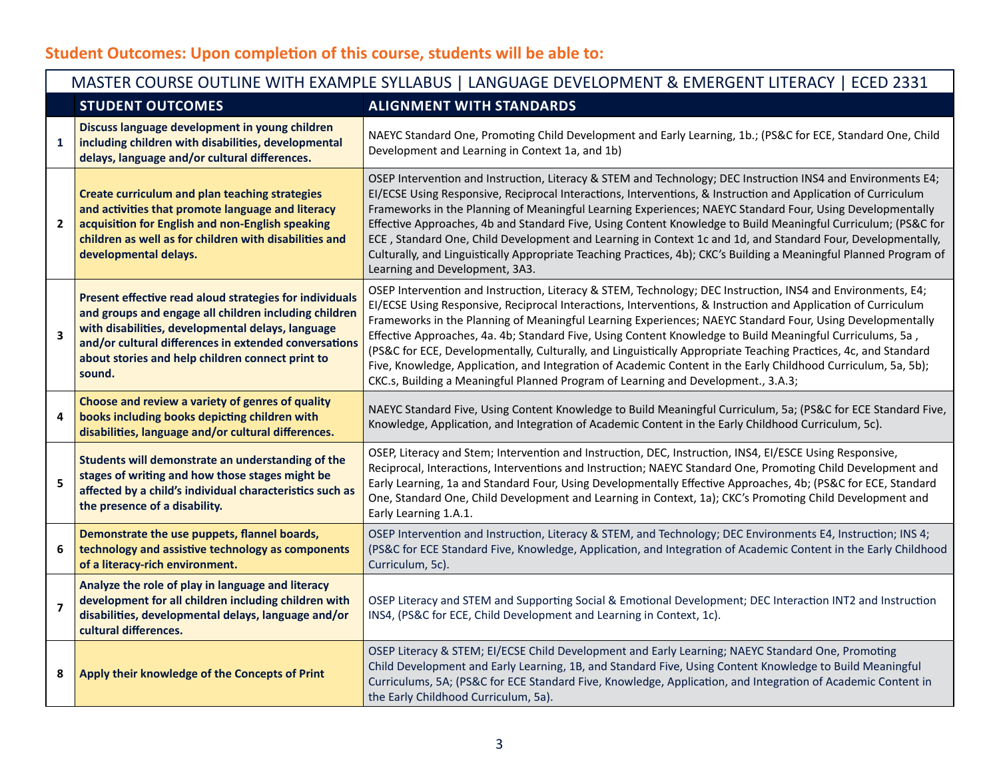## **Student Outcomes: Upon completion of this course, students will be able to:**

|                         | MASTER COURSE OUTLINE WITH EXAMPLE SYLLABUS   LANGUAGE DEVELOPMENT & EMERGENT LITERACY   ECED 2331                                                                                                                                                                                           |                                                                                                                                                                                                                                                                                                                                                                                                                                                                                                                                                                                                                                                                                                                                                                                 |  |  |  |
|-------------------------|----------------------------------------------------------------------------------------------------------------------------------------------------------------------------------------------------------------------------------------------------------------------------------------------|---------------------------------------------------------------------------------------------------------------------------------------------------------------------------------------------------------------------------------------------------------------------------------------------------------------------------------------------------------------------------------------------------------------------------------------------------------------------------------------------------------------------------------------------------------------------------------------------------------------------------------------------------------------------------------------------------------------------------------------------------------------------------------|--|--|--|
|                         | <b>STUDENT OUTCOMES</b>                                                                                                                                                                                                                                                                      | <b>ALIGNMENT WITH STANDARDS</b>                                                                                                                                                                                                                                                                                                                                                                                                                                                                                                                                                                                                                                                                                                                                                 |  |  |  |
| $\mathbf{1}$            | Discuss language development in young children<br>including children with disabilities, developmental<br>delays, language and/or cultural differences.                                                                                                                                       | NAEYC Standard One, Promoting Child Development and Early Learning, 1b.; (PS&C for ECE, Standard One, Child<br>Development and Learning in Context 1a, and 1b)                                                                                                                                                                                                                                                                                                                                                                                                                                                                                                                                                                                                                  |  |  |  |
| $\mathbf{2}$            | <b>Create curriculum and plan teaching strategies</b><br>and activities that promote language and literacy<br>acquisition for English and non-English speaking<br>children as well as for children with disabilities and<br>developmental delays.                                            | OSEP Intervention and Instruction, Literacy & STEM and Technology; DEC Instruction INS4 and Environments E4;<br>EI/ECSE Using Responsive, Reciprocal Interactions, Interventions, & Instruction and Application of Curriculum<br>Frameworks in the Planning of Meaningful Learning Experiences; NAEYC Standard Four, Using Developmentally<br>Effective Approaches, 4b and Standard Five, Using Content Knowledge to Build Meaningful Curriculum; (PS&C for<br>ECE, Standard One, Child Development and Learning in Context 1c and 1d, and Standard Four, Developmentally,<br>Culturally, and Linguistically Appropriate Teaching Practices, 4b); CKC's Building a Meaningful Planned Program of<br>Learning and Development, 3A3.                                              |  |  |  |
| $\overline{\mathbf{3}}$ | Present effective read aloud strategies for individuals<br>and groups and engage all children including children<br>with disabilities, developmental delays, language<br>and/or cultural differences in extended conversations<br>about stories and help children connect print to<br>sound. | OSEP Intervention and Instruction, Literacy & STEM, Technology; DEC Instruction, INS4 and Environments, E4;<br>EI/ECSE Using Responsive, Reciprocal Interactions, Interventions, & Instruction and Application of Curriculum<br>Frameworks in the Planning of Meaningful Learning Experiences; NAEYC Standard Four, Using Developmentally<br>Effective Approaches, 4a. 4b; Standard Five, Using Content Knowledge to Build Meaningful Curriculums, 5a,<br>(PS&C for ECE, Developmentally, Culturally, and Linguistically Appropriate Teaching Practices, 4c, and Standard<br>Five, Knowledge, Application, and Integration of Academic Content in the Early Childhood Curriculum, 5a, 5b);<br>CKC.s, Building a Meaningful Planned Program of Learning and Development., 3.A.3; |  |  |  |
| 4                       | Choose and review a variety of genres of quality<br>books including books depicting children with<br>disabilities, language and/or cultural differences.                                                                                                                                     | NAEYC Standard Five, Using Content Knowledge to Build Meaningful Curriculum, 5a; (PS&C for ECE Standard Five,<br>Knowledge, Application, and Integration of Academic Content in the Early Childhood Curriculum, 5c).                                                                                                                                                                                                                                                                                                                                                                                                                                                                                                                                                            |  |  |  |
| 5                       | Students will demonstrate an understanding of the<br>stages of writing and how those stages might be<br>affected by a child's individual characteristics such as<br>the presence of a disability.                                                                                            | OSEP, Literacy and Stem; Intervention and Instruction, DEC, Instruction, INS4, EI/ESCE Using Responsive,<br>Reciprocal, Interactions, Interventions and Instruction; NAEYC Standard One, Promoting Child Development and<br>Early Learning, 1a and Standard Four, Using Developmentally Effective Approaches, 4b; (PS&C for ECE, Standard<br>One, Standard One, Child Development and Learning in Context, 1a); CKC's Promoting Child Development and<br>Early Learning 1.A.1.                                                                                                                                                                                                                                                                                                  |  |  |  |
| 6                       | Demonstrate the use puppets, flannel boards,<br>technology and assistive technology as components<br>of a literacy-rich environment.                                                                                                                                                         | OSEP Intervention and Instruction, Literacy & STEM, and Technology; DEC Environments E4, Instruction; INS 4;<br>(PS&C for ECE Standard Five, Knowledge, Application, and Integration of Academic Content in the Early Childhood<br>Curriculum, 5c).                                                                                                                                                                                                                                                                                                                                                                                                                                                                                                                             |  |  |  |
| $\overline{7}$          | Analyze the role of play in language and literacy<br>development for all children including children with<br>disabilities, developmental delays, language and/or<br>cultural differences.                                                                                                    | OSEP Literacy and STEM and Supporting Social & Emotional Development; DEC Interaction INT2 and Instruction<br>INS4, (PS&C for ECE, Child Development and Learning in Context, 1c).                                                                                                                                                                                                                                                                                                                                                                                                                                                                                                                                                                                              |  |  |  |
| 8                       | Apply their knowledge of the Concepts of Print                                                                                                                                                                                                                                               | OSEP Literacy & STEM; EI/ECSE Child Development and Early Learning; NAEYC Standard One, Promoting<br>Child Development and Early Learning, 1B, and Standard Five, Using Content Knowledge to Build Meaningful<br>Curriculums, 5A; (PS&C for ECE Standard Five, Knowledge, Application, and Integration of Academic Content in<br>the Early Childhood Curriculum, 5a).                                                                                                                                                                                                                                                                                                                                                                                                           |  |  |  |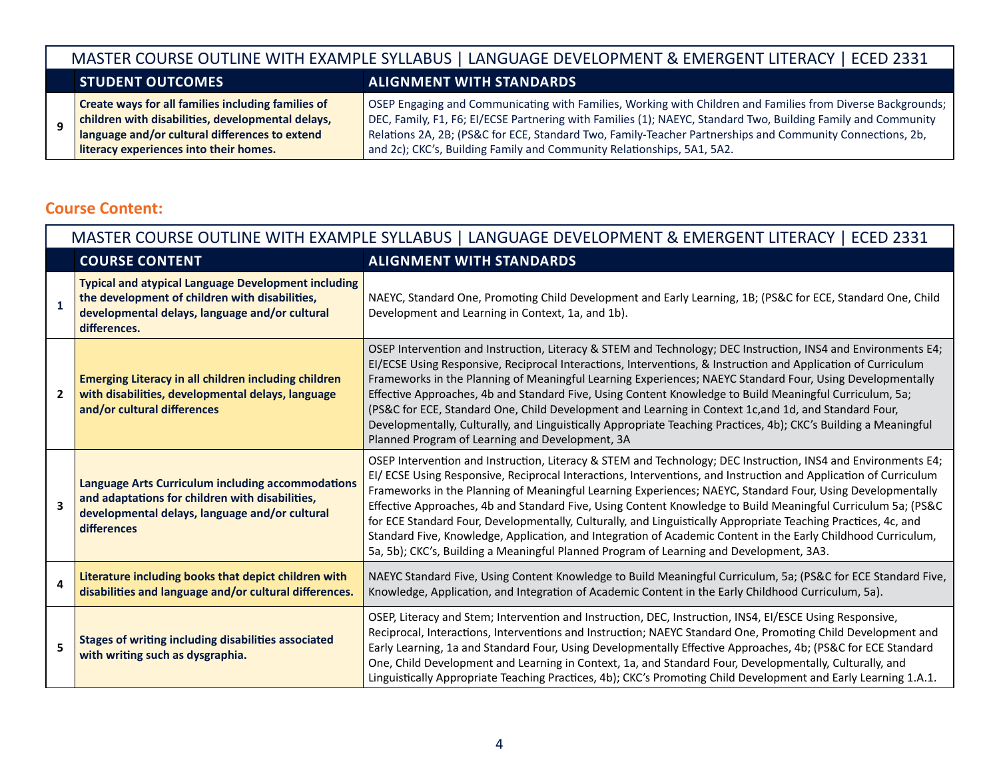#### MASTER COURSE OUTLINE WITH EXAMPLE SYLLABUS | LANGUAGE DEVELOPMENT & EMERGENT LITERACY | ECED 2331 **STUDENT OUTCOMES ALIGNMENT WITH STANDARDS 9 Create ways for all families including families of children with disabilities, developmental delays, language and/or cultural differences to extend literacy experiences into their homes.** OSEP Engaging and Communicating with Families, Working with Children and Families from Diverse Backgrounds; DEC, Family, F1, F6; EI/ECSE Partnering with Families (1); NAEYC, Standard Two, Building Family and Community Relations 2A, 2B; (PS&C for ECE, Standard Two, Family-Teacher Partnerships and Community Connections, 2b, and 2c); CKC's, Building Family and Community Relationships, 5A1, 5A2.

## **Course Content:**

| MASTER COURSE OUTLINE WITH EXAMPLE SYLLABUS   LANGUAGE DEVELOPMENT & EMERGENT LITERACY   ECED 2331 |                                                                                                                                                                                |                                                                                                                                                                                                                                                                                                                                                                                                                                                                                                                                                                                                                                                                                                                                                                                               |  |  |  |
|----------------------------------------------------------------------------------------------------|--------------------------------------------------------------------------------------------------------------------------------------------------------------------------------|-----------------------------------------------------------------------------------------------------------------------------------------------------------------------------------------------------------------------------------------------------------------------------------------------------------------------------------------------------------------------------------------------------------------------------------------------------------------------------------------------------------------------------------------------------------------------------------------------------------------------------------------------------------------------------------------------------------------------------------------------------------------------------------------------|--|--|--|
|                                                                                                    | <b>COURSE CONTENT</b>                                                                                                                                                          | <b>ALIGNMENT WITH STANDARDS</b>                                                                                                                                                                                                                                                                                                                                                                                                                                                                                                                                                                                                                                                                                                                                                               |  |  |  |
| 1                                                                                                  | <b>Typical and atypical Language Development including</b><br>the development of children with disabilities,<br>developmental delays, language and/or cultural<br>differences. | NAEYC, Standard One, Promoting Child Development and Early Learning, 1B; (PS&C for ECE, Standard One, Child<br>Development and Learning in Context, 1a, and 1b).                                                                                                                                                                                                                                                                                                                                                                                                                                                                                                                                                                                                                              |  |  |  |
| $\mathbf{2}$                                                                                       | <b>Emerging Literacy in all children including children</b><br>with disabilities, developmental delays, language<br>and/or cultural differences                                | OSEP Intervention and Instruction, Literacy & STEM and Technology; DEC Instruction, INS4 and Environments E4;<br>EI/ECSE Using Responsive, Reciprocal Interactions, Interventions, & Instruction and Application of Curriculum<br>Frameworks in the Planning of Meaningful Learning Experiences; NAEYC Standard Four, Using Developmentally<br>Effective Approaches, 4b and Standard Five, Using Content Knowledge to Build Meaningful Curriculum, 5a;<br>(PS&C for ECE, Standard One, Child Development and Learning in Context 1c, and 1d, and Standard Four,<br>Developmentally, Culturally, and Linguistically Appropriate Teaching Practices, 4b); CKC's Building a Meaningful<br>Planned Program of Learning and Development, 3A                                                        |  |  |  |
| $\overline{\mathbf{3}}$                                                                            | <b>Language Arts Curriculum including accommodations</b><br>and adaptations for children with disabilities,<br>developmental delays, language and/or cultural<br>differences   | OSEP Intervention and Instruction, Literacy & STEM and Technology; DEC Instruction, INS4 and Environments E4;<br>EI/ ECSE Using Responsive, Reciprocal Interactions, Interventions, and Instruction and Application of Curriculum<br>Frameworks in the Planning of Meaningful Learning Experiences; NAEYC, Standard Four, Using Developmentally<br>Effective Approaches, 4b and Standard Five, Using Content Knowledge to Build Meaningful Curriculum 5a; (PS&C<br>for ECE Standard Four, Developmentally, Culturally, and Linguistically Appropriate Teaching Practices, 4c, and<br>Standard Five, Knowledge, Application, and Integration of Academic Content in the Early Childhood Curriculum,<br>5a, 5b); CKC's, Building a Meaningful Planned Program of Learning and Development, 3A3. |  |  |  |
| 4                                                                                                  | Literature including books that depict children with<br>disabilities and language and/or cultural differences.                                                                 | NAEYC Standard Five, Using Content Knowledge to Build Meaningful Curriculum, 5a; (PS&C for ECE Standard Five,<br>Knowledge, Application, and Integration of Academic Content in the Early Childhood Curriculum, 5a).                                                                                                                                                                                                                                                                                                                                                                                                                                                                                                                                                                          |  |  |  |
| 5                                                                                                  | <b>Stages of writing including disabilities associated</b><br>with writing such as dysgraphia.                                                                                 | OSEP, Literacy and Stem; Intervention and Instruction, DEC, Instruction, INS4, EI/ESCE Using Responsive,<br>Reciprocal, Interactions, Interventions and Instruction; NAEYC Standard One, Promoting Child Development and<br>Early Learning, 1a and Standard Four, Using Developmentally Effective Approaches, 4b; (PS&C for ECE Standard<br>One, Child Development and Learning in Context, 1a, and Standard Four, Developmentally, Culturally, and<br>Linguistically Appropriate Teaching Practices, 4b); CKC's Promoting Child Development and Early Learning 1.A.1.                                                                                                                                                                                                                        |  |  |  |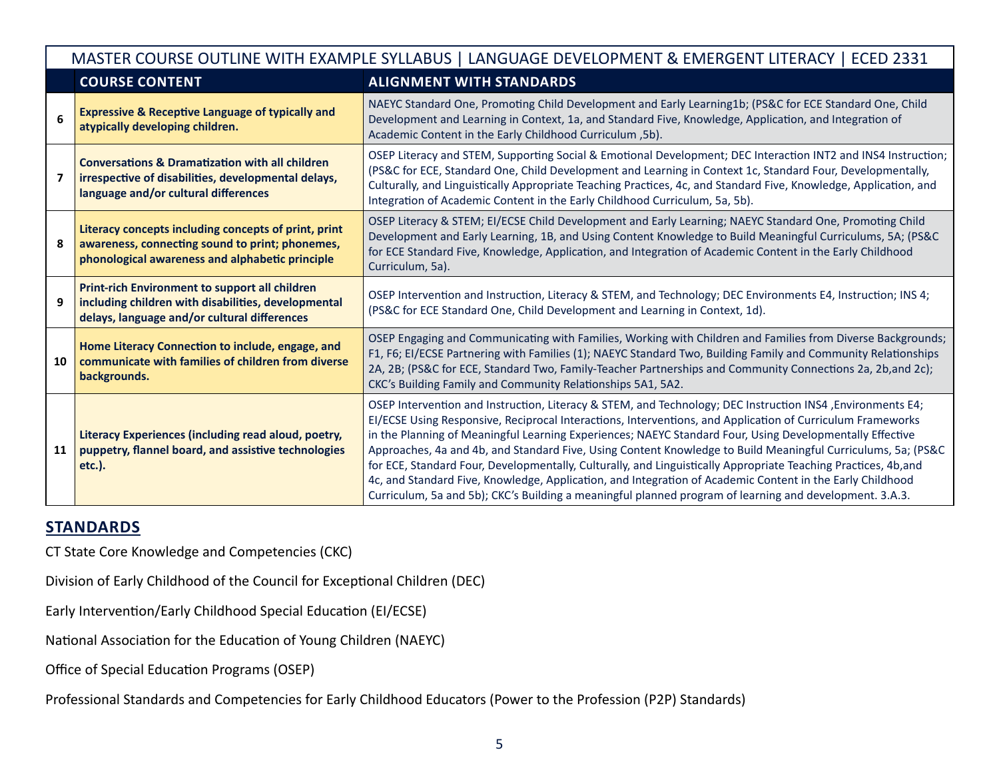| MASTER COURSE OUTLINE WITH EXAMPLE SYLLABUS   LANGUAGE DEVELOPMENT & EMERGENT LITERACY   ECED 2331 |                                                                                                                                                                                                                                                                                                                                                                                                                                                                                                                                      |                                                                                                                                                                                                                                                                                                                                                                                                                                                                                                                                                                                                                                                                                                                                                                                                |  |  |
|----------------------------------------------------------------------------------------------------|--------------------------------------------------------------------------------------------------------------------------------------------------------------------------------------------------------------------------------------------------------------------------------------------------------------------------------------------------------------------------------------------------------------------------------------------------------------------------------------------------------------------------------------|------------------------------------------------------------------------------------------------------------------------------------------------------------------------------------------------------------------------------------------------------------------------------------------------------------------------------------------------------------------------------------------------------------------------------------------------------------------------------------------------------------------------------------------------------------------------------------------------------------------------------------------------------------------------------------------------------------------------------------------------------------------------------------------------|--|--|
|                                                                                                    | <b>COURSE CONTENT</b>                                                                                                                                                                                                                                                                                                                                                                                                                                                                                                                | <b>ALIGNMENT WITH STANDARDS</b>                                                                                                                                                                                                                                                                                                                                                                                                                                                                                                                                                                                                                                                                                                                                                                |  |  |
| 6                                                                                                  | <b>Expressive &amp; Receptive Language of typically and</b><br>atypically developing children.                                                                                                                                                                                                                                                                                                                                                                                                                                       | NAEYC Standard One, Promoting Child Development and Early Learning1b; (PS&C for ECE Standard One, Child<br>Development and Learning in Context, 1a, and Standard Five, Knowledge, Application, and Integration of<br>Academic Content in the Early Childhood Curriculum, 5b).                                                                                                                                                                                                                                                                                                                                                                                                                                                                                                                  |  |  |
| 7                                                                                                  | <b>Conversations &amp; Dramatization with all children</b><br>irrespective of disabilities, developmental delays,<br>language and/or cultural differences                                                                                                                                                                                                                                                                                                                                                                            | OSEP Literacy and STEM, Supporting Social & Emotional Development; DEC Interaction INT2 and INS4 Instruction;<br>(PS&C for ECE, Standard One, Child Development and Learning in Context 1c, Standard Four, Developmentally,<br>Culturally, and Linguistically Appropriate Teaching Practices, 4c, and Standard Five, Knowledge, Application, and<br>Integration of Academic Content in the Early Childhood Curriculum, 5a, 5b).                                                                                                                                                                                                                                                                                                                                                                |  |  |
| 8                                                                                                  | Literacy concepts including concepts of print, print<br>awareness, connecting sound to print; phonemes,<br>phonological awareness and alphabetic principle                                                                                                                                                                                                                                                                                                                                                                           | OSEP Literacy & STEM; EI/ECSE Child Development and Early Learning; NAEYC Standard One, Promoting Child<br>Development and Early Learning, 1B, and Using Content Knowledge to Build Meaningful Curriculums, 5A; (PS&C<br>for ECE Standard Five, Knowledge, Application, and Integration of Academic Content in the Early Childhood<br>Curriculum, 5a).                                                                                                                                                                                                                                                                                                                                                                                                                                         |  |  |
| 9                                                                                                  | Print-rich Environment to support all children<br>including children with disabilities, developmental<br>delays, language and/or cultural differences                                                                                                                                                                                                                                                                                                                                                                                | OSEP Intervention and Instruction, Literacy & STEM, and Technology; DEC Environments E4, Instruction; INS 4;<br>(PS&C for ECE Standard One, Child Development and Learning in Context, 1d).                                                                                                                                                                                                                                                                                                                                                                                                                                                                                                                                                                                                    |  |  |
| 10                                                                                                 | OSEP Engaging and Communicating with Families, Working with Children and Families from Diverse Backgrounds;<br>Home Literacy Connection to include, engage, and<br>F1, F6; EI/ECSE Partnering with Families (1); NAEYC Standard Two, Building Family and Community Relationships<br>communicate with families of children from diverse<br>2A, 2B; (PS&C for ECE, Standard Two, Family-Teacher Partnerships and Community Connections 2a, 2b, and 2c);<br>backgrounds.<br>CKC's Building Family and Community Relationships 5A1, 5A2. |                                                                                                                                                                                                                                                                                                                                                                                                                                                                                                                                                                                                                                                                                                                                                                                                |  |  |
| 11                                                                                                 | Literacy Experiences (including read aloud, poetry,<br>puppetry, flannel board, and assistive technologies<br>etc.).                                                                                                                                                                                                                                                                                                                                                                                                                 | OSEP Intervention and Instruction, Literacy & STEM, and Technology; DEC Instruction INS4, Environments E4;<br>EI/ECSE Using Responsive, Reciprocal Interactions, Interventions, and Application of Curriculum Frameworks<br>in the Planning of Meaningful Learning Experiences; NAEYC Standard Four, Using Developmentally Effective<br>Approaches, 4a and 4b, and Standard Five, Using Content Knowledge to Build Meaningful Curriculums, 5a; (PS&C<br>for ECE, Standard Four, Developmentally, Culturally, and Linguistically Appropriate Teaching Practices, 4b,and<br>4c, and Standard Five, Knowledge, Application, and Integration of Academic Content in the Early Childhood<br>Curriculum, 5a and 5b); CKC's Building a meaningful planned program of learning and development. 3.A.3. |  |  |

## **STANDARDS**

CT State Core Knowledge and Competencies (CKC)

Division of Early Childhood of the Council for Exceptional Children (DEC)

Early Intervention/Early Childhood Special Education (EI/ECSE)

National Association for the Education of Young Children (NAEYC)

Office of Special Education Programs (OSEP)

Professional Standards and Competencies for Early Childhood Educators (Power to the Profession (P2P) Standards)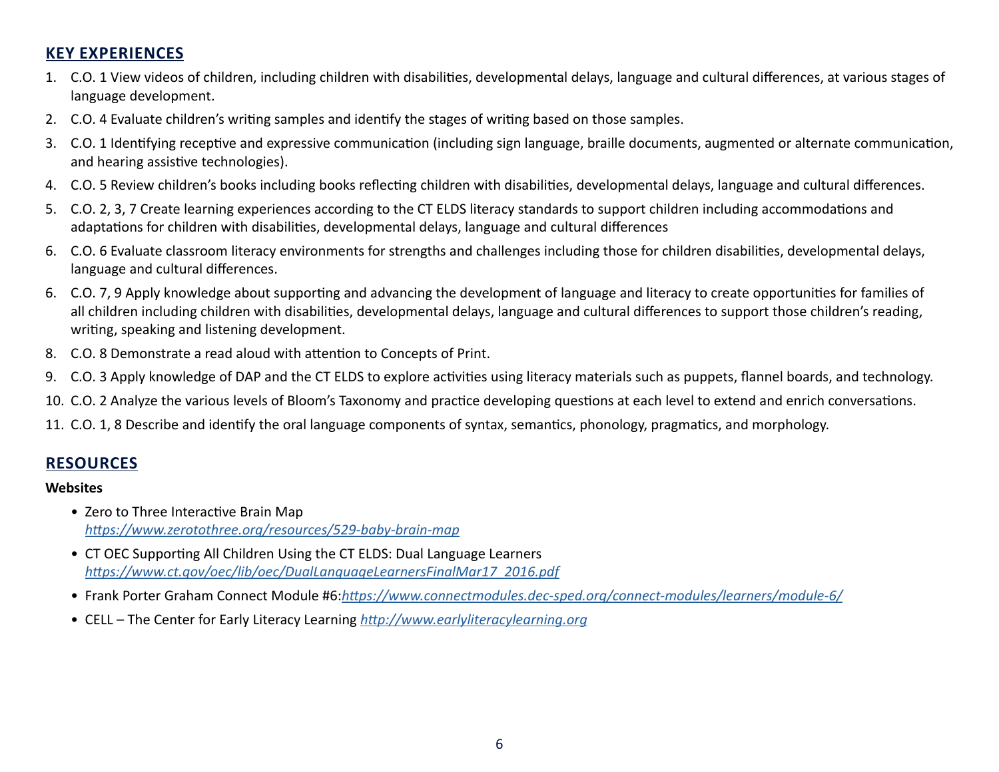## **KEY EXPERIENCES**

- 1. C.O. 1 View videos of children, including children with disabilities, developmental delays, language and cultural differences, at various stages of language development.
- 2. C.O. 4 Evaluate children's writing samples and identify the stages of writing based on those samples.
- 3. C.O. 1 Identifying receptive and expressive communication (including sign language, braille documents, augmented or alternate communication, and hearing assistive technologies).
- 4. C.O. 5 Review children's books including books reflecting children with disabilities, developmental delays, language and cultural differences.
- 5. C.O. 2, 3, 7 Create learning experiences according to the CT ELDS literacy standards to support children including accommodations and adaptations for children with disabilities, developmental delays, language and cultural differences
- 6. C.O. 6 Evaluate classroom literacy environments for strengths and challenges including those for children disabilities, developmental delays, language and cultural differences.
- 6. C.O. 7, 9 Apply knowledge about supporting and advancing the development of language and literacy to create opportunities for families of all children including children with disabilities, developmental delays, language and cultural differences to support those children's reading, writing, speaking and listening development.
- 8. C.O. 8 Demonstrate a read aloud with attention to Concepts of Print.
- 9. C.O. 3 Apply knowledge of DAP and the CT ELDS to explore activities using literacy materials such as puppets, flannel boards, and technology.
- 10. C.O. 2 Analyze the various levels of Bloom's Taxonomy and practice developing questions at each level to extend and enrich conversations.
- 11. C.O. 1, 8 Describe and identify the oral language components of syntax, semantics, phonology, pragmatics, and morphology.

## **RESOURCES**

#### **Websites**

- Zero to Three Interactive Brain Map *<https://www.zerotothree.org/resources/529-baby-brain-map>*
- CT OEC Supporting All Children Using the CT ELDS: Dual Language Learners *[https://www.ct.gov/oec/lib/oec/DualLanguageLearnersFinalMar17\\_2016.pdf](https://portal.ct.gov/oec)*
- Frank Porter Graham Connect Module #6:*[https://www.connectmodules.dec-sped.org/connect-modules/learners/module-6/](https://connectmodules.dec-sped.org/connect-modules/learners/module-6/)*
- CELL The Center for Early Literacy Learning *<http://www.earlyliteracylearning.org>*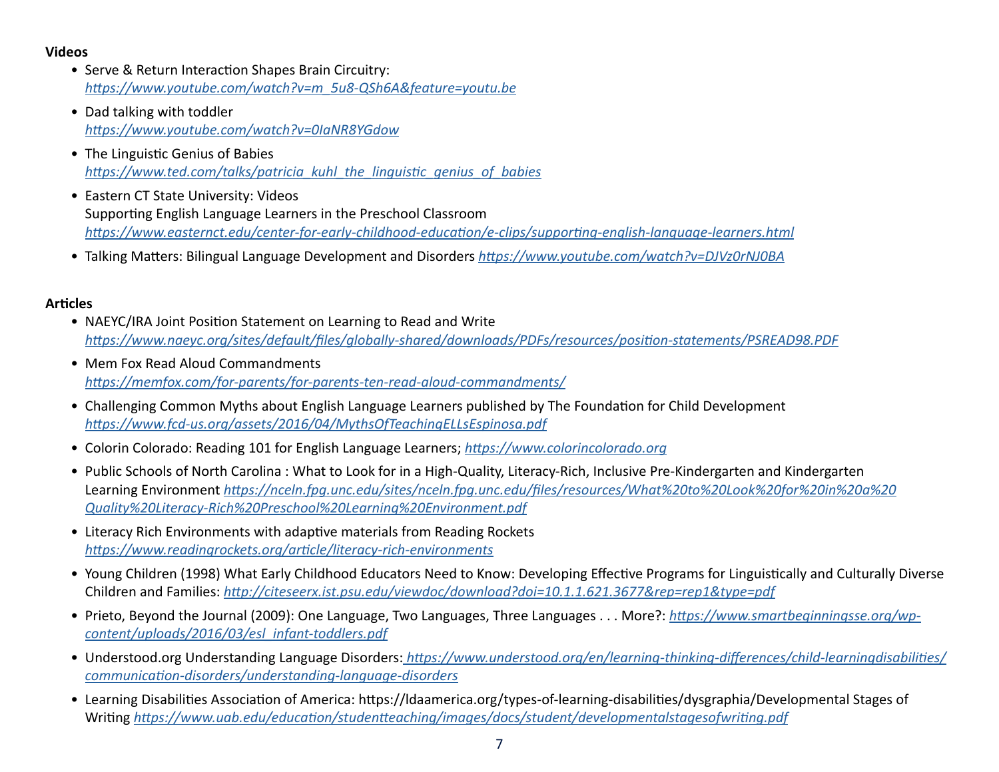#### **Videos**

- Serve & Return Interaction Shapes Brain Circuitry: *[https://www.youtube.com/watch?v=m\\_5u8-QSh6A&feature=youtu.be](https://www.youtube.com/watch?v=m_5u8-QSh6A)*
- Dad talking with toddler *<https://www.youtube.com/watch?v=0IaNR8YGdow>*
- The Linguistic Genius of Babies *[https://www.ted.com/talks/patricia\\_kuhl\\_the\\_linguistic\\_genius\\_of\\_babies](https://www.ted.com/talks/patricia_kuhl_the_linguistic_genius_of_babies)*
- Eastern CT State University: Videos Supporting English Language Learners in the Preschool Classroom *<https://www.easternct.edu/center-for-early-childhood-education/e-clips/supporting-english-language-learners.html>*
- Talking Matters: Bilingual Language Development and Disorders *<https://www.youtube.com/watch?v=DJVz0rNJ0BA>*

#### **Articles**

- NAEYC/IRA Joint Position Statement on Learning to Read and Write *<https://www.naeyc.org/sites/default/files/globally-shared/downloads/PDFs/resources/position-statements/PSREAD98.PDF>*
- Mem Fox Read Aloud Commandments *<https://memfox.com/for-parents/for-parents-ten-read-aloud-commandments/>*
- Challenging Common Myths about English Language Learners published by The Foundation for Child Development *<https://www.fcd-us.org/assets/2016/04/MythsOfTeachingELLsEspinosa.pdf>*
- Colorin Colorado: Reading 101 for English Language Learners; *<https://www.colorincolorado.org>*
- Public Schools of North Carolina : What to Look for in a High-Quality, Literacy-Rich, Inclusive Pre-Kindergarten and Kindergarten Learning Environment *[https://nceln.fpg.unc.edu/sites/nceln.fpg.unc.edu/files/resources/What%20to%20Look%20for%20in%20a%20](https://nceln.fpg.unc.edu/sites/nceln.fpg.unc.edu/files/resources/What%20to%20Look%20for%20in%20a%20Quality%20Literacy-Rich%20Preschool%20Learning%20Environment.pdf) [Quality%20Literacy-Rich%20Preschool%20Learning%20Environment.pdf](https://nceln.fpg.unc.edu/sites/nceln.fpg.unc.edu/files/resources/What%20to%20Look%20for%20in%20a%20Quality%20Literacy-Rich%20Preschool%20Learning%20Environment.pdf)*
- Literacy Rich Environments with adaptive materials from Reading Rockets *<https://www.readingrockets.org/article/literacy-rich-environments>*
- Young Children (1998) What Early Childhood Educators Need to Know: Developing Effective Programs for Linguistically and Culturally Diverse Children and Families: *[http://citeseerx.ist.psu.edu/viewdoc/download?doi=10.1.1.621.3677&rep=rep1&type=pdf](https://citeseerx.ist.psu.edu/viewdoc/download?doi=10.1.1.621.3677&rep=rep1&type=pdf)*
- Prieto, Beyond the Journal (2009): One Language, Two Languages, Three Languages . . . More?: *[https://www.smartbeginningsse.org/wp](https://www.smartbeginningsse.org/wp-content/uploads/2016/03/esl_infant-toddlers.pdf)[content/uploads/2016/03/esl\\_infant-toddlers.pdf](https://www.smartbeginningsse.org/wp-content/uploads/2016/03/esl_infant-toddlers.pdf)*
- Understood.org Understanding Language Disorders: *[https://www.understood.org/en/learning-thinking-differences/child-learningdisabilities/](https://www.understood.org/en/learning-thinking-differences/child-learning-disabilities/communication-disorders/understanding-language-disorders) [communication-disorders/understanding-language-disorders](https://www.understood.org/en/learning-thinking-differences/child-learning-disabilities/communication-disorders/understanding-language-disorders)*
- Learning Disabilities Association of America: https://ldaamerica.org/types-of-learning-disabilities/dysgraphia/Developmental Stages of Writing *<https://www.uab.edu/education/studentteaching/images/docs/student/developmentalstagesofwriting.pdf>*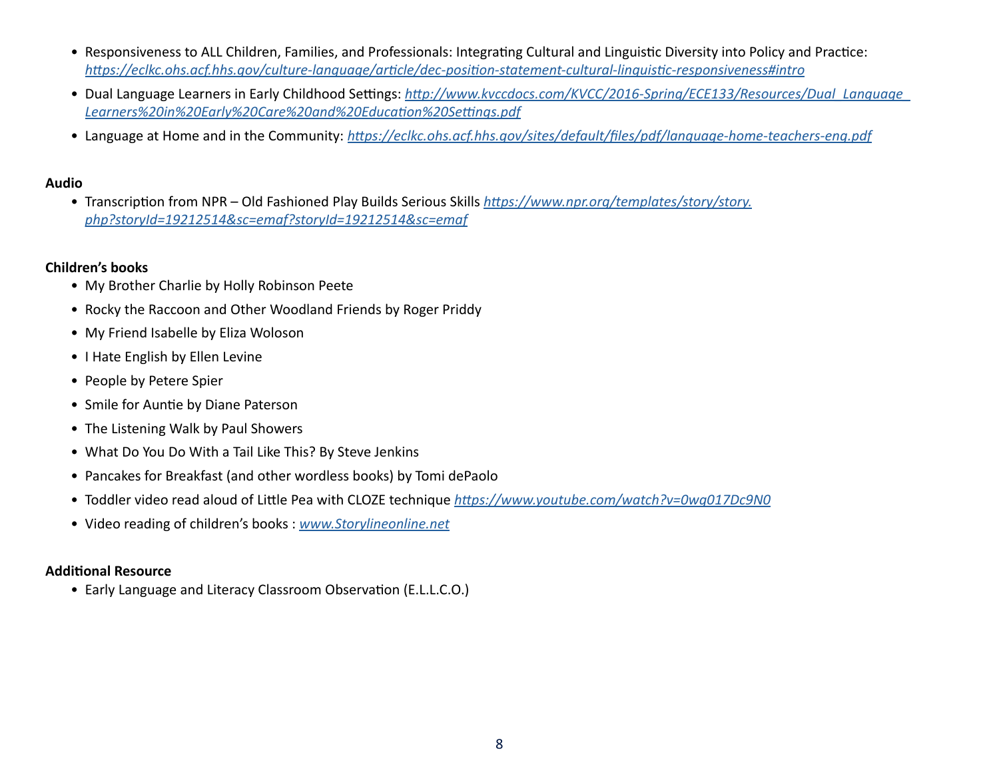- Responsiveness to ALL Children, Families, and Professionals: Integrating Cultural and Linguistic Diversity into Policy and Practice: *<https://eclkc.ohs.acf.hhs.gov/culture-language/article/dec-position-statement-cultural-linguistic-responsiveness#intro>*
- Dual Language Learners in Early Childhood Settings: *[http://www.kvccdocs.com/KVCC/2016-Spring/ECE133/Resources/Dual\\_Language\\_](http://www.kvccdocs.com/KVCC/2016-Spring/ECE133/Resources/Dual_Language_Learners%20in%20Early%20Care%20and%20Education%20Settings.pdf) [Learners%20in%20Early%20Care%20and%20Education%20Settings.pdf](http://www.kvccdocs.com/KVCC/2016-Spring/ECE133/Resources/Dual_Language_Learners%20in%20Early%20Care%20and%20Education%20Settings.pdf)*
- Language at Home and in the Community: *<https://eclkc.ohs.acf.hhs.gov/sites/default/files/pdf/language-home-teachers-eng.pdf>*

#### **Audio**

• Transcription from NPR – Old Fashioned Play Builds Serious Skills *[https://www.npr.org/templates/story/story.](https://www.npr.org/templates/story/story.php?storyId=19212514&sc=emaf?storyId=19212514&sc=emaf) [php?storyId=19212514&sc=emaf?storyId=19212514&sc=emaf](https://www.npr.org/templates/story/story.php?storyId=19212514&sc=emaf?storyId=19212514&sc=emaf)*

#### **Children's books**

- My Brother Charlie by Holly Robinson Peete
- Rocky the Raccoon and Other Woodland Friends by Roger Priddy
- My Friend Isabelle by Eliza Woloson
- I Hate English by Ellen Levine
- People by Petere Spier
- Smile for Auntie by Diane Paterson
- The Listening Walk by Paul Showers
- What Do You Do With a Tail Like This? By Steve Jenkins
- Pancakes for Breakfast (and other wordless books) by Tomi dePaolo
- Toddler video read aloud of Little Pea with CLOZE technique *<https://www.youtube.com/watch?v=0wg017Dc9N0>*
- Video reading of children's books : *[www.Storylineonline.net](http://www.Storylineonline.net)*

### **Additional Resource**

• Early Language and Literacy Classroom Observation (E.L.L.C.O.)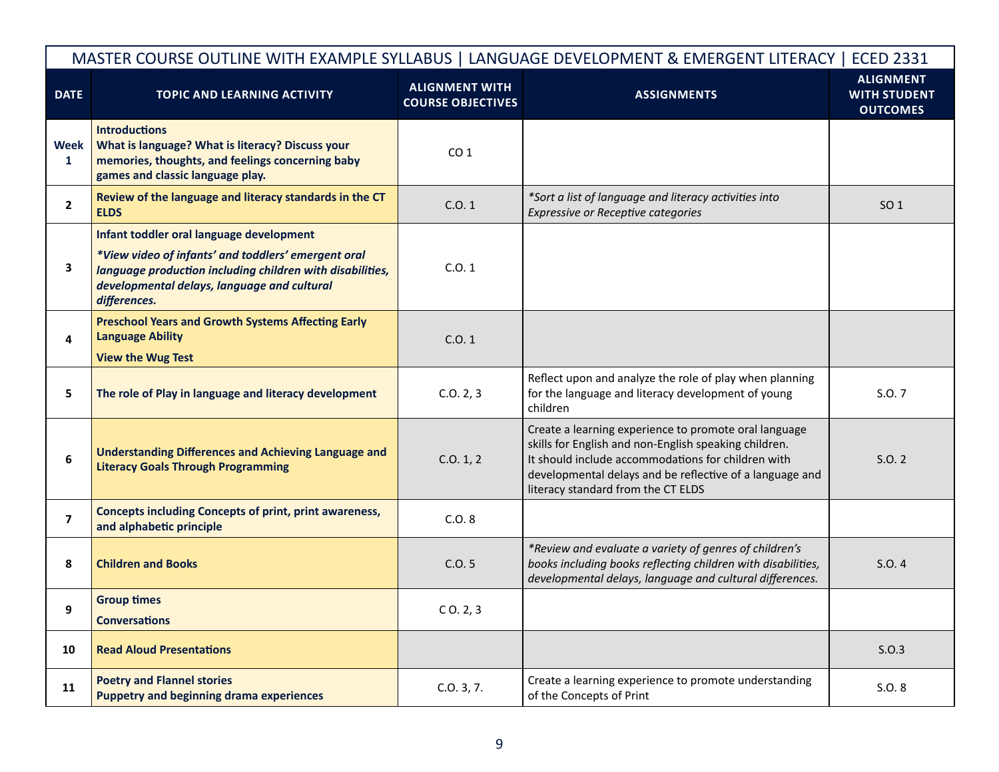| MASTER COURSE OUTLINE WITH EXAMPLE SYLLABUS   LANGUAGE DEVELOPMENT & EMERGENT LITERACY   ECED 2331 |                                                                                                                                                                                                                             |                                                   |                                                                                                                                                                                                                                                                        |                                                            |
|----------------------------------------------------------------------------------------------------|-----------------------------------------------------------------------------------------------------------------------------------------------------------------------------------------------------------------------------|---------------------------------------------------|------------------------------------------------------------------------------------------------------------------------------------------------------------------------------------------------------------------------------------------------------------------------|------------------------------------------------------------|
| <b>DATE</b>                                                                                        | <b>TOPIC AND LEARNING ACTIVITY</b>                                                                                                                                                                                          | <b>ALIGNMENT WITH</b><br><b>COURSE OBJECTIVES</b> | <b>ASSIGNMENTS</b>                                                                                                                                                                                                                                                     | <b>ALIGNMENT</b><br><b>WITH STUDENT</b><br><b>OUTCOMES</b> |
| Week<br>1                                                                                          | <b>Introductions</b><br>What is language? What is literacy? Discuss your<br>memories, thoughts, and feelings concerning baby<br>games and classic language play.                                                            | CO <sub>1</sub>                                   |                                                                                                                                                                                                                                                                        |                                                            |
| $\mathbf{2}$                                                                                       | Review of the language and literacy standards in the CT<br><b>ELDS</b>                                                                                                                                                      | C.0.1                                             | *Sort a list of language and literacy activities into<br>Expressive or Receptive categories                                                                                                                                                                            | SO <sub>1</sub>                                            |
| 3                                                                                                  | Infant toddler oral language development<br>*View video of infants' and toddlers' emergent oral<br>language production including children with disabilities,<br>developmental delays, language and cultural<br>differences. | C.0.1                                             |                                                                                                                                                                                                                                                                        |                                                            |
| 4                                                                                                  | <b>Preschool Years and Growth Systems Affecting Early</b><br><b>Language Ability</b><br><b>View the Wug Test</b>                                                                                                            | C.0.1                                             |                                                                                                                                                                                                                                                                        |                                                            |
| 5                                                                                                  | The role of Play in language and literacy development                                                                                                                                                                       | C.0.2, 3                                          | Reflect upon and analyze the role of play when planning<br>for the language and literacy development of young<br>children                                                                                                                                              | S.O. 7                                                     |
| 6                                                                                                  | <b>Understanding Differences and Achieving Language and</b><br><b>Literacy Goals Through Programming</b>                                                                                                                    | C.0.1, 2                                          | Create a learning experience to promote oral language<br>skills for English and non-English speaking children.<br>It should include accommodations for children with<br>developmental delays and be reflective of a language and<br>literacy standard from the CT ELDS | S.O. 2                                                     |
| $\overline{7}$                                                                                     | <b>Concepts including Concepts of print, print awareness,</b><br>and alphabetic principle                                                                                                                                   | C.O. 8                                            |                                                                                                                                                                                                                                                                        |                                                            |
| 8                                                                                                  | <b>Children and Books</b>                                                                                                                                                                                                   | C.0.5                                             | *Review and evaluate a variety of genres of children's<br>books including books reflecting children with disabilities,<br>developmental delays, language and cultural differences.                                                                                     | S.O.4                                                      |
| 9                                                                                                  | <b>Group times</b><br><b>Conversations</b>                                                                                                                                                                                  | $C$ O. 2, 3                                       |                                                                                                                                                                                                                                                                        |                                                            |
| 10                                                                                                 | <b>Read Aloud Presentations</b>                                                                                                                                                                                             |                                                   |                                                                                                                                                                                                                                                                        | S.0.3                                                      |
| 11                                                                                                 | <b>Poetry and Flannel stories</b><br><b>Puppetry and beginning drama experiences</b>                                                                                                                                        | C.0.3, 7.                                         | Create a learning experience to promote understanding<br>of the Concepts of Print                                                                                                                                                                                      | S.O. 8                                                     |